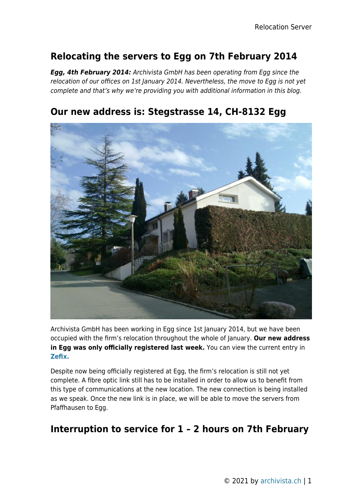## **Relocating the servers to Egg on 7th February 2014**

*Egg, 4th February 2014:* Archivista GmbH has been operating from Egg since the relocation of our offices on 1st January 2014. Nevertheless, the move to Egg is not yet complete and that's why we're providing you with additional information in this blog.



## **Our new address is: Stegstrasse 14, CH-8132 Egg**

Archivista GmbH has been working in Egg since 1st January 2014, but we have been occupied with the firm's relocation throughout the whole of January. **Our new address in Egg was only officially registered last week.** You can view the current entry in **[Zefix.](http://www.zefix.ch)**

Despite now being officially registered at Egg, the firm's relocation is still not yet complete. A fibre optic link still has to be installed in order to allow us to benefit from this type of communications at the new location. The new connection is being installed as we speak. Once the new link is in place, we will be able to move the servers from Pfaffhausen to Egg.

## **Interruption to service for 1 – 2 hours on 7th February**